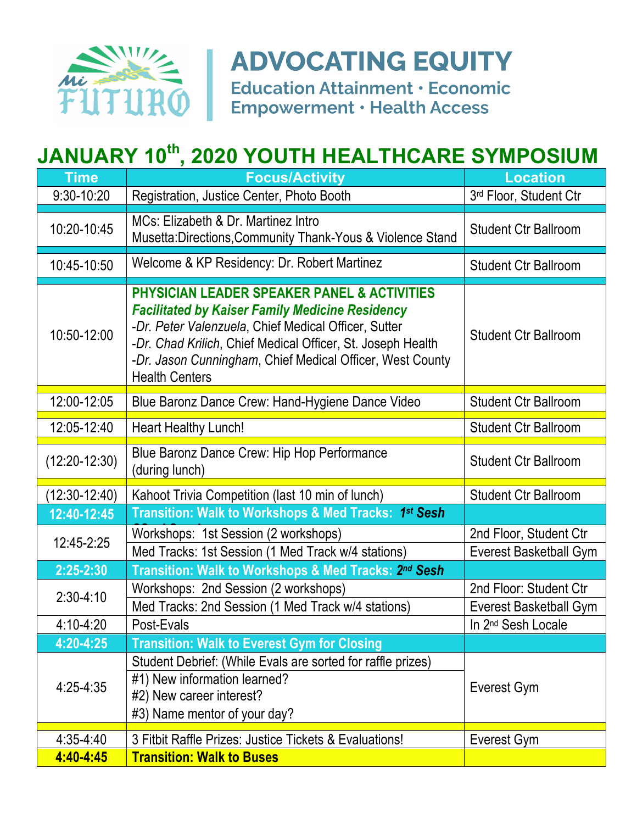

## **ADVOCATING EQUITY**

**Education Attainment · Economic Empowerment · Health Access** 

## **JANUARY 10th, 2020 YOUTH HEALTHCARE SYMPOSIUM**

| <b>Time</b>     | <b>Focus/Activity</b>                                                                                                                                                                                                                                                                                                         | <b>Location</b>                                  |
|-----------------|-------------------------------------------------------------------------------------------------------------------------------------------------------------------------------------------------------------------------------------------------------------------------------------------------------------------------------|--------------------------------------------------|
| 9:30-10:20      | Registration, Justice Center, Photo Booth                                                                                                                                                                                                                                                                                     | 3rd Floor, Student Ctr                           |
| 10:20-10:45     | MCs: Elizabeth & Dr. Martinez Intro<br>Musetta: Directions, Community Thank-Yous & Violence Stand                                                                                                                                                                                                                             | <b>Student Ctr Ballroom</b>                      |
| 10:45-10:50     | Welcome & KP Residency: Dr. Robert Martinez                                                                                                                                                                                                                                                                                   | <b>Student Ctr Ballroom</b>                      |
| 10:50-12:00     | <b>PHYSICIAN LEADER SPEAKER PANEL &amp; ACTIVITIES</b><br><b>Facilitated by Kaiser Family Medicine Residency</b><br>-Dr. Peter Valenzuela, Chief Medical Officer, Sutter<br>-Dr. Chad Krilich, Chief Medical Officer, St. Joseph Health<br>-Dr. Jason Cunningham, Chief Medical Officer, West County<br><b>Health Centers</b> | <b>Student Ctr Ballroom</b>                      |
| 12:00-12:05     | Blue Baronz Dance Crew: Hand-Hygiene Dance Video                                                                                                                                                                                                                                                                              | <b>Student Ctr Ballroom</b>                      |
| 12:05-12:40     | <b>Heart Healthy Lunch!</b>                                                                                                                                                                                                                                                                                                   | <b>Student Ctr Ballroom</b>                      |
| $(12:20-12:30)$ | Blue Baronz Dance Crew: Hip Hop Performance<br>(during lunch)                                                                                                                                                                                                                                                                 | <b>Student Ctr Ballroom</b>                      |
| $(12:30-12:40)$ | Kahoot Trivia Competition (last 10 min of lunch)                                                                                                                                                                                                                                                                              | <b>Student Ctr Ballroom</b>                      |
| 12:40-12:45     | Transition: Walk to Workshops & Med Tracks: 1st Sesh                                                                                                                                                                                                                                                                          |                                                  |
| 12:45-2:25      | Workshops: 1st Session (2 workshops)<br>Med Tracks: 1st Session (1 Med Track w/4 stations)                                                                                                                                                                                                                                    | 2nd Floor, Student Ctr<br>Everest Basketball Gym |
| 2:25-2:30       | Transition: Walk to Workshops & Med Tracks: 2nd Sesh                                                                                                                                                                                                                                                                          |                                                  |
| $2:30-4:10$     | Workshops: 2nd Session (2 workshops)<br>Med Tracks: 2nd Session (1 Med Track w/4 stations)                                                                                                                                                                                                                                    | 2nd Floor: Student Ctr<br>Everest Basketball Gym |
| $4:10 - 4:20$   | Post-Evals                                                                                                                                                                                                                                                                                                                    | In 2 <sup>nd</sup> Sesh Locale                   |
| 4:20-4:25       | <b>Transition: Walk to Everest Gym for Closing</b>                                                                                                                                                                                                                                                                            |                                                  |
| $4:25 - 4:35$   | Student Debrief: (While Evals are sorted for raffle prizes)<br>#1) New information learned?<br>#2) New career interest?<br>#3) Name mentor of your day?                                                                                                                                                                       | Everest Gym                                      |
| $4:35 - 4:40$   | 3 Fitbit Raffle Prizes: Justice Tickets & Evaluations!                                                                                                                                                                                                                                                                        | Everest Gym                                      |
| 4:40-4:45       | <b>Transition: Walk to Buses</b>                                                                                                                                                                                                                                                                                              |                                                  |